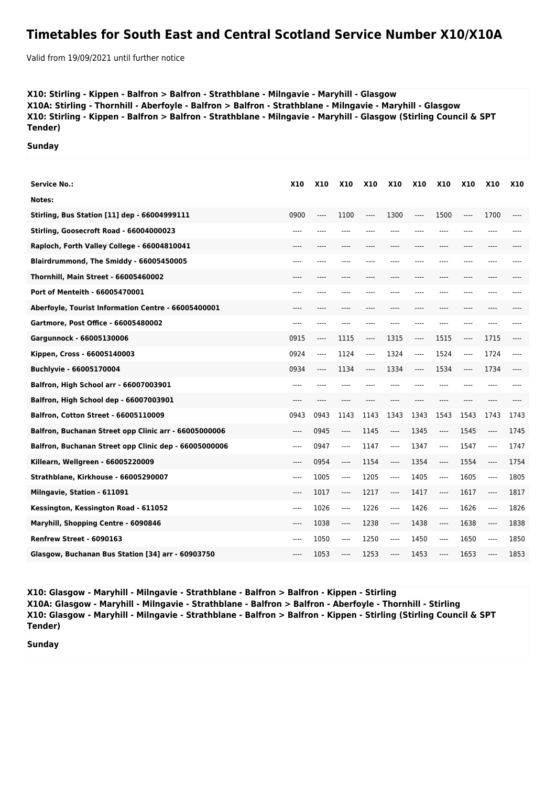## **Timetables for South East and Central Scotland Service Number X10/X10A**

Valid from 19/09/2021 until further notice

## **X10: Stirling - Kippen - Balfron > Balfron - Strathblane - Milngavie - Maryhill - Glasgow X10A: Stirling - Thornhill - Aberfoyle - Balfron > Balfron - Strathblane - Milngavie - Maryhill - Glasgow X10: Stirling - Kippen - Balfron > Balfron - Strathblane - Milngavie - Maryhill - Glasgow (Stirling Council & SPT Tender)**

**Sunday**

| <b>Service No.:</b>                                   | <b>X10</b> | <b>X10</b> | <b>X10</b> | <b>X10</b> | <b>X10</b> | <b>X10</b> | <b>X10</b> | <b>X10</b> | <b>X10</b> | <b>X10</b> |
|-------------------------------------------------------|------------|------------|------------|------------|------------|------------|------------|------------|------------|------------|
| Notes:                                                |            |            |            |            |            |            |            |            |            |            |
| Stirling, Bus Station [11] dep - 66004999111          | 0900       | ----       | 1100       | ----       | 1300       | $---$      | 1500       | ----       | 1700       |            |
| Stirling, Goosecroft Road - 66004000023               | $---$      | ----       | ----       |            |            | ----       | ----       | ----       | ----       |            |
| Raploch, Forth Valley College - 66004810041           | $---$      | ----       | ----       | ----       | ----       | $---$      | $---$      | ----       | ----       |            |
| Blairdrummond, The Smiddy - 66005450005               | $---$      | ----       | ----       | ----       |            | ----       | ----       | ----       | ----       |            |
| Thornhill, Main Street - 66005460002                  | ----       | ----       | ----       | ----       |            | ----       | ----       | ----       | ----       |            |
| Port of Menteith - 66005470001                        | ----       |            |            |            |            |            |            |            | ----       |            |
| Aberfoyle, Tourist Information Centre - 66005400001   | ----       | ----       | ----       |            |            | ----       | ----       | ----       | ----       |            |
| Gartmore, Post Office - 66005480002                   | $---$      | ----       | ----       | ----       |            | $---$      | ----       | ----       | ----       |            |
| Gargunnock - 66005130006                              | 0915       | ----       | 1115       | ----       | 1315       | $---$      | 1515       | ----       | 1715       | ----       |
| Kippen, Cross - 66005140003                           | 0924       | ----       | 1124       | ----       | 1324       | $---$      | 1524       | ----       | 1724       |            |
| Buchlyvie - 66005170004                               | 0934       | ----       | 1134       | ----       | 1334       | $---$      | 1534       | ----       | 1734       | ----       |
| Balfron, High School arr - 66007003901                | ----       |            |            |            |            |            |            |            | ----       |            |
| Balfron, High School dep - 66007003901                | ----       |            |            |            |            |            |            |            |            |            |
| <b>Balfron, Cotton Street - 66005110009</b>           | 0943       | 0943       | 1143       | 1143       | 1343       | 1343       | 1543       | 1543       | 1743       | 1743       |
| Balfron, Buchanan Street opp Clinic arr - 66005000006 | $---$      | 0945       | ----       | 1145       | $---$      | 1345       | $---$      | 1545       | $---$      | 1745       |
| Balfron, Buchanan Street opp Clinic dep - 66005000006 | $---$      | 0947       | $---$      | 1147       | $---$      | 1347       | $---$      | 1547       | ----       | 1747       |
| Killearn, Wellgreen - 66005220009                     | $---$      | 0954       | ----       | 1154       | ----       | 1354       | ----       | 1554       | $---$      | 1754       |
| Strathblane, Kirkhouse - 66005290007                  | ----       | 1005       | ----       | 1205       | $-----$    | 1405       | ----       | 1605       | $---$      | 1805       |
| Milngavie, Station - 611091                           | ----       | 1017       | $-----$    | 1217       | ----       | 1417       | $-----$    | 1617       | $\cdots$   | 1817       |
| Kessington, Kessington Road - 611052                  | $---$      | 1026       | $---$      | 1226       | $---$      | 1426       | ----       | 1626       | $\cdots$   | 1826       |
| Maryhill, Shopping Centre - 6090846                   | $---$      | 1038       | $---$      | 1238       | $---$      | 1438       | $---$      | 1638       | $---$      | 1838       |
| Renfrew Street - 6090163                              | $---$      | 1050       | $---$      | 1250       | ----       | 1450       | $---$      | 1650       | $---$      | 1850       |
| Glasgow, Buchanan Bus Station [34] arr - 60903750     | ----       | 1053       | ----       | 1253       | ----       | 1453       | ----       | 1653       |            | 1853       |

**X10: Glasgow - Maryhill - Milngavie - Strathblane - Balfron > Balfron - Kippen - Stirling X10A: Glasgow - Maryhill - Milngavie - Strathblane - Balfron > Balfron - Aberfoyle - Thornhill - Stirling X10: Glasgow - Maryhill - Milngavie - Strathblane - Balfron > Balfron - Kippen - Stirling (Stirling Council & SPT Tender)**

**Sunday**